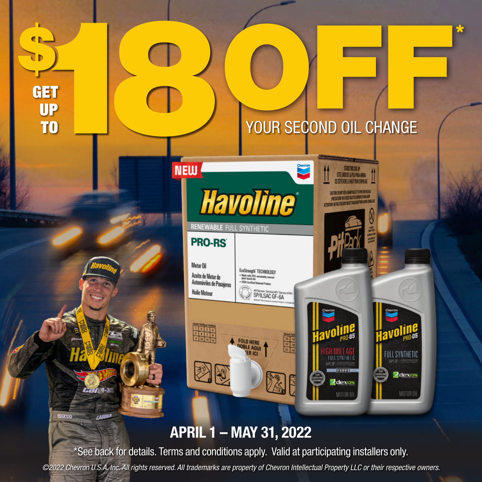₩



## APRIL 1 – MAY 31, 2022

GET

UP<br>T<sub>0</sub>

Con y-am

**LAUGHUR** 

\*See back for details. Terms and conditions apply. Valid at participating installers only.

*©2022 Chevron U.S.A. Inc. All rights reserved. All trademarks are property of Chevron Intellectual Property LLC or their respective owners.*